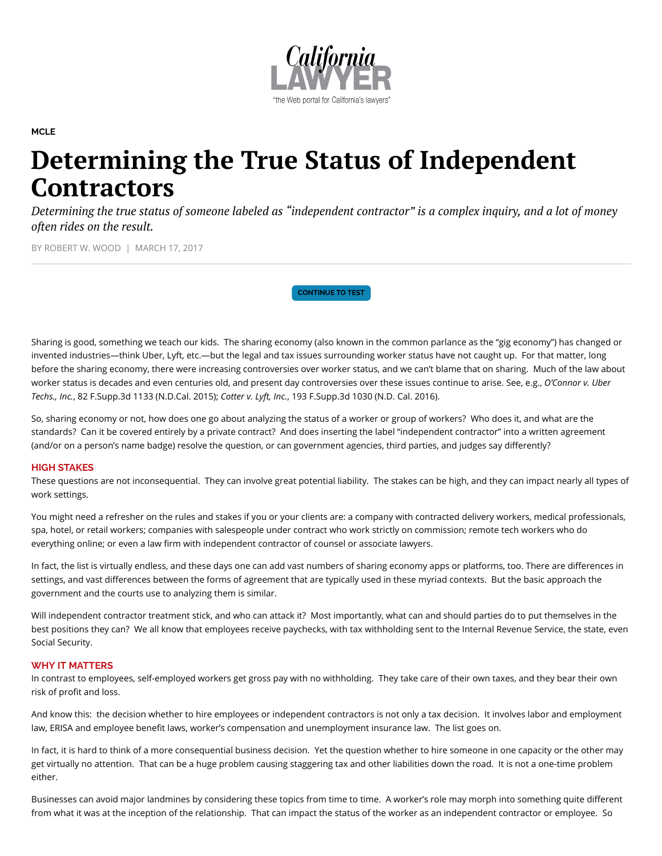

**[MCLE](http://www.callawyer.com/category/mcle/)** 

# Determining the True Status of Independent **Contractors**

Determining the true status of someone labeled as "independent contractor" is a complex inquiry, and a lot of money *often rides on the result.*

BY ROBERT W. WOOD | MARCH 17, 2017

[CONTINUE](https://ww2.callawyer.com/cle/cle_testview.cfm?newwindow=1&qvID=636) TO TEST

Sharing is good, something we teach our kids. The sharing economy (also known in the common parlance as the "gig economy") has changed or invented industries—think Uber, Lyft, etc.—but the legal and tax issues surrounding worker status have not caught up. For that matter, long before the sharing economy, there were increasing controversies over worker status, and we can't blame that on sharing. Much of the law about worker status is decades and even centuries old, and present day controversies over these issues continue to arise. See, e.g., O'Connor v. Uber Techs., Inc., 82 F.Supp.3d 1133 (N.D.Cal. 2015); Cotter v. Lyft, Inc., 193 F.Supp.3d 1030 (N.D. Cal. 2016).

So, sharing economy or not, how does one go about analyzing the status of a worker or group of workers? Who does it, and what are the standards? Can it be covered entirely by a private contract? And does inserting the label "independent contractor" into a written agreement (and/or on a person's name badge) resolve the question, or can government agencies, third parties, and judges say differently?

# HIGH STAKES

These questions are not inconsequential. They can involve great potential liability. The stakes can be high, and they can impact nearly all types of work settings.

You might need a refresher on the rules and stakes if you or your clients are: a company with contracted delivery workers, medical professionals, spa, hotel, or retail workers; companies with salespeople under contract who work strictly on commission; remote tech workers who do everything online; or even a law firm with independent contractor of counsel or associate lawyers.

In fact, the list is virtually endless, and these days one can add vast numbers of sharing economy apps or platforms, too. There are differences in settings, and vast differences between the forms of agreement that are typically used in these myriad contexts. But the basic approach the government and the courts use to analyzing them is similar.

Will independent contractor treatment stick, and who can attack it? Most importantly, what can and should parties do to put themselves in the best positions they can? We all know that employees receive paychecks, with tax withholding sent to the Internal Revenue Service, the state, even Social Security.

# WHY IT MATTERS

In contrast to employees, self-employed workers get gross pay with no withholding. They take care of their own taxes, and they bear their own risk of profit and loss.

And know this: the decision whether to hire employees or independent contractors is not only a tax decision. It involves labor and employment law, ERISA and employee benefit laws, worker's compensation and unemployment insurance law. The list goes on.

In fact, it is hard to think of a more consequential business decision. Yet the question whether to hire someone in one capacity or the other may get virtually no attention. That can be a huge problem causing staggering tax and other liabilities down the road. It is not a one-time problem either.

Businesses can avoid major landmines by considering these topics from time to time. A worker's role may morph into something quite different from what it was at the inception of the relationship. That can impact the status of the worker as an independent contractor or employee. So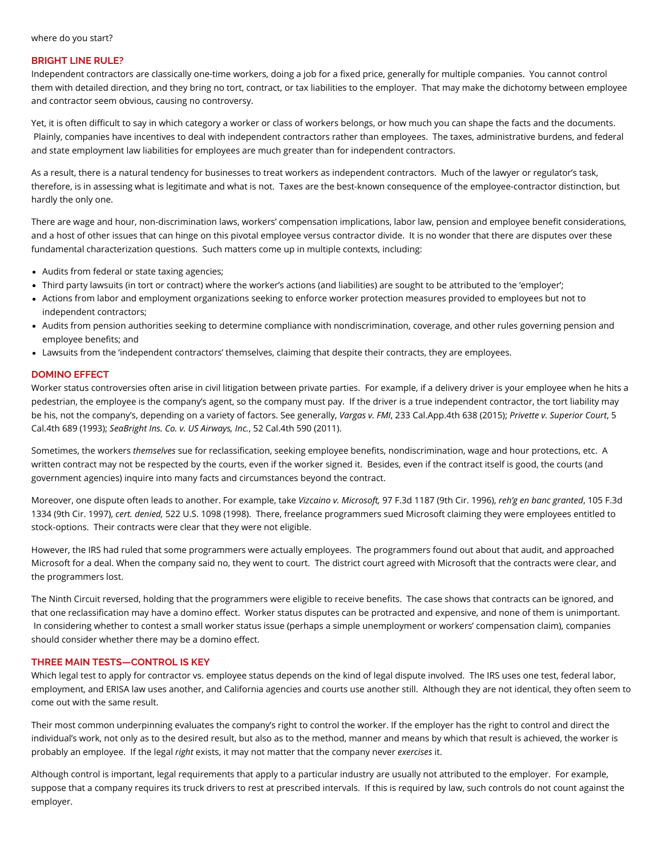#### where do you start?

#### BRIGHT LINE RULE?

Independent contractors are classically one-time workers, doing a job for a fixed price, generally for multiple companies. You cannot control them with detailed direction, and they bring no tort, contract, or tax liabilities to the employer. That may make the dichotomy between employee and contractor seem obvious, causing no controversy.

Yet, it is often difficult to say in which category a worker or class of workers belongs, or how much you can shape the facts and the documents. Plainly, companies have incentives to deal with independent contractors rather than employees. The taxes, administrative burdens, and federal and state employment law liabilities for employees are much greater than for independent contractors.

As a result, there is a natural tendency for businesses to treat workers as independent contractors. Much of the lawyer or regulator's task, therefore, is in assessing what is legitimate and what is not. Taxes are the best-known consequence of the employee-contractor distinction, but hardly the only one.

There are wage and hour, non-discrimination laws, workers' compensation implications, labor law, pension and employee benefit considerations, and a host of other issues that can hinge on this pivotal employee versus contractor divide. It is no wonder that there are disputes over these fundamental characterization questions. Such matters come up in multiple contexts, including:

- Audits from federal or state taxing agencies;
- Third party lawsuits (in tort or contract) where the worker's actions (and liabilities) are sought to be attributed to the 'employer';
- Actions from labor and employment organizations seeking to enforce worker protection measures provided to employees but not to independent contractors;
- Audits from pension authorities seeking to determine compliance with nondiscrimination, coverage, and other rules governing pension and employee benefits; and
- Lawsuits from the 'independent contractors' themselves, claiming that despite their contracts, they are employees.

# DOMINO EFFECT

Worker status controversies often arise in civil litigation between private parties. For example, if a delivery driver is your employee when he hits a pedestrian, the employee is the company's agent, so the company must pay. If the driver is a true independent contractor, the tort liability may be his, not the company's, depending on a variety of factors. See generally, Vargas v. FMI, 233 Cal.App.4th 638 (2015); Privette v. Superior Court, 5 Cal.4th 689 (1993); SeaBright Ins. Co. v. US Airways, Inc., 52 Cal.4th 590 (2011).

Sometimes, the workers themselves sue for reclassification, seeking employee benefits, nondiscrimination, wage and hour protections, etc. A written contract may not be respected by the courts, even if the worker signed it. Besides, even if the contract itself is good, the courts (and government agencies) inquire into many facts and circumstances beyond the contract.

Moreover, one dispute often leads to another. For example, take Vizcaino v. Microsoft, 97 F.3d 1187 (9th Cir. 1996), reh'g en banc granted, 105 F.3d 1334 (9th Cir. 1997), cert. denied, 522 U.S. 1098 (1998). There, freelance programmers sued Microsoft claiming they were employees entitled to stock-options. Their contracts were clear that they were not eligible.

However, the IRS had ruled that some programmers were actually employees. The programmers found out about that audit, and approached Microsoft for a deal. When the company said no, they went to court. The district court agreed with Microsoft that the contracts were clear, and the programmers lost.

The Ninth Circuit reversed, holding that the programmers were eligible to receive benefits. The case shows that contracts can be ignored, and that one reclassification may have a domino effect. Worker status disputes can be protracted and expensive, and none of them is unimportant. In considering whether to contest a small worker status issue (perhaps a simple unemployment or workers' compensation claim), companies should consider whether there may be a domino effect.

# THREE MAIN TESTS—CONTROL IS KEY

Which legal test to apply for contractor vs. employee status depends on the kind of legal dispute involved. The IRS uses one test, federal labor, employment, and ERISA law uses another, and California agencies and courts use another still. Although they are not identical, they often seem to come out with the same result.

Their most common underpinning evaluates the company's right to control the worker. If the employer has the right to control and direct the individual's work, not only as to the desired result, but also as to the method, manner and means by which that result is achieved, the worker is probably an employee. If the legal right exists, it may not matter that the company never exercises it.

Although control is important, legal requirements that apply to a particular industry are usually not attributed to the employer. For example, suppose that a company requires its truck drivers to rest at prescribed intervals. If this is required by law, such controls do not count against the employer.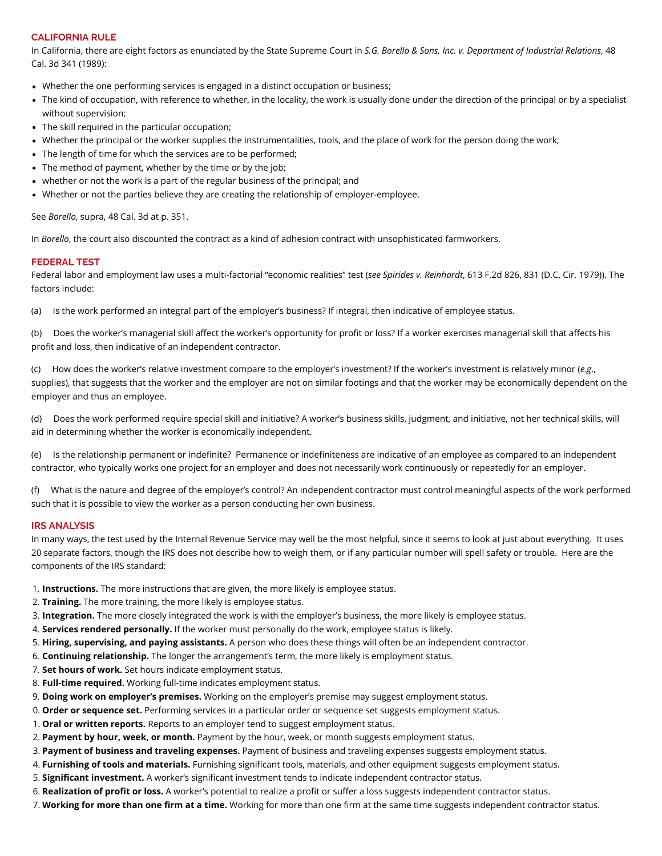# CALIFORNIA RULE

In California, there are eight factors as enunciated by the State Supreme Court in S.G. Borello & Sons, Inc. v. Department of Industrial Relations, 48 Cal. 3d 341 (1989):

- Whether the one performing services is engaged in a distinct occupation or business;
- The kind of occupation, with reference to whether, in the locality, the work is usually done under the direction of the principal or by a specialist without supervision;
- The skill required in the particular occupation;
- Whether the principal or the worker supplies the instrumentalities, tools, and the place of work for the person doing the work;
- The length of time for which the services are to be performed;
- The method of payment, whether by the time or by the job;
- whether or not the work is a part of the regular business of the principal; and
- Whether or not the parties believe they are creating the relationship of employer-employee.

See Borello, supra, 48 Cal. 3d at p. 351.

In Borello, the court also discounted the contract as a kind of adhesion contract with unsophisticated farmworkers.

# FEDERAL TEST

Federal labor and employment law uses a multi-factorial "economic realities" test (see Spirides v. Reinhardt, 613 F.2d 826, 831 (D.C. Cir. 1979)). The factors include:

(a) Is the work performed an integral part of the employer's business? If integral, then indicative of employee status.

(b) Does the worker's managerial skill affect the worker's opportunity for profit or loss? If a worker exercises managerial skill that affects his profit and loss, then indicative of an independent contractor.

(c) How does the worker's relative investment compare to the employer's investment? If the worker's investment is relatively minor (e.g., supplies), that suggests that the worker and the employer are not on similar footings and that the worker may be economically dependent on the employer and thus an employee.

(d) Does the work performed require special skill and initiative? A worker's business skills, judgment, and initiative, not her technical skills, will aid in determining whether the worker is economically independent.

(e) Is the relationship permanent or indefinite? Permanence or indefiniteness are indicative of an employee as compared to an independent contractor, who typically works one project for an employer and does not necessarily work continuously or repeatedly for an employer.

(f) What is the nature and degree of the employer's control? An independent contractor must control meaningful aspects of the work performed such that it is possible to view the worker as a person conducting her own business.

# IRS ANALYSIS

In many ways, the test used by the Internal Revenue Service may well be the most helpful, since it seems to look at just about everything. It uses 20 separate factors, though the IRS does not describe how to weigh them, or if any particular number will spell safety or trouble. Here are the components of the IRS standard:

- 1. Instructions. The more instructions that are given, the more likely is employee status.
- 2. Training. The more training, the more likely is employee status.
- 3. Integration. The more closely integrated the work is with the employer's business, the more likely is employee status.
- 4. Services rendered personally. If the worker must personally do the work, employee status is likely.
- 5. Hiring, supervising, and paying assistants. A person who does these things will often be an independent contractor.
- 6. Continuing relationship. The longer the arrangement's term, the more likely is employment status.
- 7. Set hours of work. Set hours indicate employment status.
- 8. Full-time required. Working full-time indicates employment status.
- 9. Doing work on employer's premises. Working on the employer's premise may suggest employment status.
- 0. Order or sequence set. Performing services in a particular order or sequence set suggests employment status.
- 1. Oral or written reports. Reports to an employer tend to suggest employment status.
- 2. Payment by hour, week, or month. Payment by the hour, week, or month suggests employment status.
- 3. Payment of business and traveling expenses. Payment of business and traveling expenses suggests employment status.
- 4. Furnishing of tools and materials. Furnishing significant tools, materials, and other equipment suggests employment status.
- 5. Significant investment. A worker's significant investment tends to indicate independent contractor status.
- 6. Realization of profit or loss. A worker's potential to realize a profit or suffer a loss suggests independent contractor status.
- 7. Working for more than one firm at a time. Working for more than one firm at the same time suggests independent contractor status.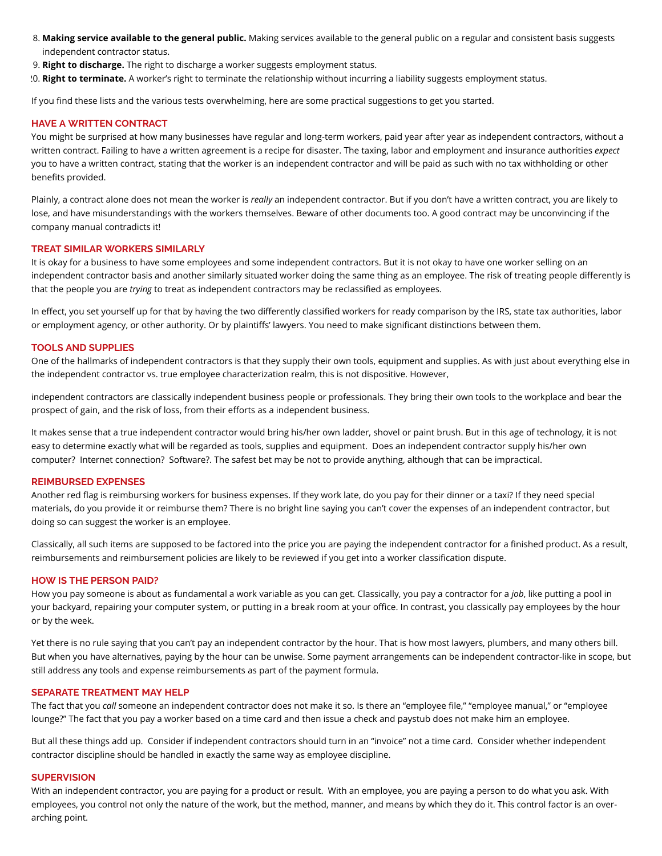- 8. Making service available to the general public. Making services available to the general public on a regular and consistent basis suggests independent contractor status.
- 9. Right to discharge. The right to discharge a worker suggests employment status.
- 20. Right to terminate. A worker's right to terminate the relationship without incurring a liability suggests employment status.

If you find these lists and the various tests overwhelming, here are some practical suggestions to get you started.

# HAVE A WRITTEN CONTRACT

You might be surprised at how many businesses have regular and long-term workers, paid year after year as independent contractors, without a written contract. Failing to have a written agreement is a recipe for disaster. The taxing, labor and employment and insurance authorities expect you to have a written contract, stating that the worker is an independent contractor and will be paid as such with no tax withholding or other benefits provided.

Plainly, a contract alone does not mean the worker is really an independent contractor. But if you don't have a written contract, you are likely to lose, and have misunderstandings with the workers themselves. Beware of other documents too. A good contract may be unconvincing if the company manual contradicts it!

# TREAT SIMILAR WORKERS SIMILARLY

It is okay for a business to have some employees and some independent contractors. But it is not okay to have one worker selling on an independent contractor basis and another similarly situated worker doing the same thing as an employee. The risk of treating people differently is that the people you are trying to treat as independent contractors may be reclassified as employees.

In effect, you set yourself up for that by having the two differently classified workers for ready comparison by the IRS, state tax authorities, labor or employment agency, or other authority. Or by plaintiffs' lawyers. You need to make significant distinctions between them.

#### TOOLS AND SUPPLIES

One of the hallmarks of independent contractors is that they supply their own tools, equipment and supplies. As with just about everything else in the independent contractor vs. true employee characterization realm, this is not dispositive. However,

independent contractors are classically independent business people or professionals. They bring their own tools to the workplace and bear the prospect of gain, and the risk of loss, from their efforts as a independent business.

It makes sense that a true independent contractor would bring his/her own ladder, shovel or paint brush. But in this age of technology, it is not easy to determine exactly what will be regarded as tools, supplies and equipment. Does an independent contractor supply his/her own computer? Internet connection? Software?. The safest bet may be not to provide anything, although that can be impractical.

#### REIMBURSED EXPENSES

Another red flag is reimbursing workers for business expenses. If they work late, do you pay for their dinner or a taxi? If they need special materials, do you provide it or reimburse them? There is no bright line saying you can't cover the expenses of an independent contractor, but doing so can suggest the worker is an employee.

Classically, all such items are supposed to be factored into the price you are paying the independent contractor for a finished product. As a result, reimbursements and reimbursement policies are likely to be reviewed if you get into a worker classification dispute.

#### HOW IS THE PERSON PAID?

How you pay someone is about as fundamental a work variable as you can get. Classically, you pay a contractor for a job, like putting a pool in your backyard, repairing your computer system, or putting in a break room at your office. In contrast, you classically pay employees by the hour or by the week.

Yet there is no rule saying that you can't pay an independent contractor by the hour. That is how most lawyers, plumbers, and many others bill. But when you have alternatives, paying by the hour can be unwise. Some payment arrangements can be independent contractor-like in scope, but still address any tools and expense reimbursements as part of the payment formula.

# SEPARATE TREATMENT MAY HELP

The fact that you call someone an independent contractor does not make it so. Is there an "employee file," "employee manual," or "employee lounge?" The fact that you pay a worker based on a time card and then issue a check and paystub does not make him an employee.

But all these things add up. Consider if independent contractors should turn in an "invoice" not a time card. Consider whether independent contractor discipline should be handled in exactly the same way as employee discipline.

# **SUPERVISION**

With an independent contractor, you are paying for a product or result. With an employee, you are paying a person to do what you ask. With employees, you control not only the nature of the work, but the method, manner, and means by which they do it. This control factor is an overarching point.